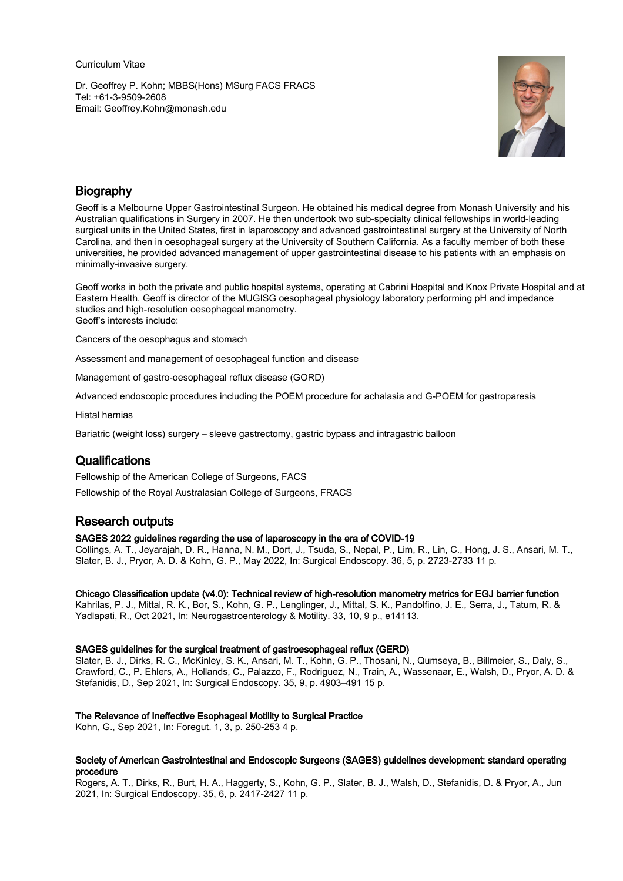Curriculum Vitae

Dr. Geoffrey P. Kohn; MBBS(Hons) MSurg FACS FRACS Tel: +61-3-9509-2608 Email: Geoffrey.Kohn@monash.edu



## **Biography**

Geoff is a Melbourne Upper Gastrointestinal Surgeon. He obtained his medical degree from Monash University and his Australian qualifications in Surgery in 2007. He then undertook two sub-specialty clinical fellowships in world-leading surgical units in the United States, first in laparoscopy and advanced gastrointestinal surgery at the University of North Carolina, and then in oesophageal surgery at the University of Southern California. As a faculty member of both these universities, he provided advanced management of upper gastrointestinal disease to his patients with an emphasis on minimally-invasive surgery.

Geoff works in both the private and public hospital systems, operating at Cabrini Hospital and Knox Private Hospital and at Eastern Health. Geoff is director of the MUGISG oesophageal physiology laboratory performing pH and impedance studies and high-resolution oesophageal manometry. Geoff's interests include:

Cancers of the oesophagus and stomach

Assessment and management of oesophageal function and disease

Management of gastro-oesophageal reflux disease (GORD)

Advanced endoscopic procedures including the POEM procedure for achalasia and G-POEM for gastroparesis

Hiatal hernias

Bariatric (weight loss) surgery – sleeve gastrectomy, gastric bypass and intragastric balloon

## **Qualifications**

Fellowship of the American College of Surgeons, FACS

Fellowship of the Royal Australasian College of Surgeons, FRACS

# Research outputs

## SAGES 2022 guidelines regarding the use of laparoscopy in the era of COVID-19

Collings, A. T., Jeyarajah, D. R., Hanna, N. M., Dort, J., Tsuda, S., Nepal, P., Lim, R., Lin, C., Hong, J. S., Ansari, M. T., Slater, B. J., Pryor, A. D. & Kohn, G. P., May 2022, In: Surgical Endoscopy. 36, 5, p. 2723-2733 11 p.

## Chicago Classification update (v4.0): Technical review of high-resolution manometry metrics for EGJ barrier function

Kahrilas, P. J., Mittal, R. K., Bor, S., Kohn, G. P., Lenglinger, J., Mittal, S. K., Pandolfino, J. E., Serra, J., Tatum, R. & Yadlapati, R., Oct 2021, In: Neurogastroenterology & Motility. 33, 10, 9 p., e14113.

## SAGES guidelines for the surgical treatment of gastroesophageal reflux (GERD)

Slater, B. J., Dirks, R. C., McKinley, S. K., Ansari, M. T., Kohn, G. P., Thosani, N., Qumseya, B., Billmeier, S., Daly, S., Crawford, C., P. Ehlers, A., Hollands, C., Palazzo, F., Rodriguez, N., Train, A., Wassenaar, E., Walsh, D., Pryor, A. D. & Stefanidis, D., Sep 2021, In: Surgical Endoscopy. 35, 9, p. 4903–491 15 p.

## The Relevance of Ineffective Esophageal Motility to Surgical Practice

Kohn, G., Sep 2021, In: Foregut. 1, 3, p. 250-253 4 p.

## Society of American Gastrointestinal and Endoscopic Surgeons (SAGES) guidelines development: standard operating procedure

Rogers, A. T., Dirks, R., Burt, H. A., Haggerty, S., Kohn, G. P., Slater, B. J., Walsh, D., Stefanidis, D. & Pryor, A., Jun 2021, In: Surgical Endoscopy. 35, 6, p. 2417-2427 11 p.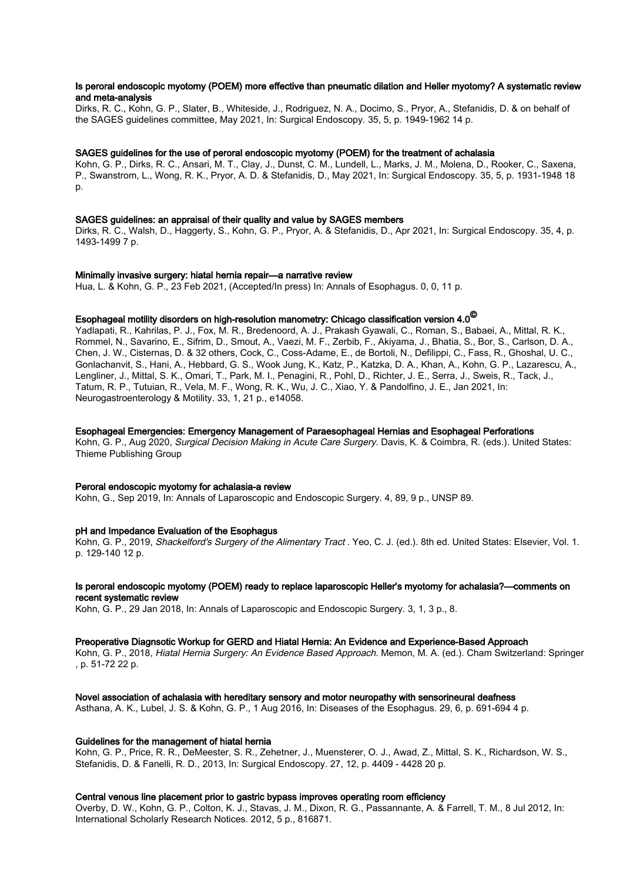## Is peroral endoscopic myotomy (POEM) more effective than pneumatic dilation and Heller myotomy? A systematic review and meta-analysis

Dirks, R. C., Kohn, G. P., Slater, B., Whiteside, J., Rodriguez, N. A., Docimo, S., Pryor, A., Stefanidis, D. & on behalf of the SAGES guidelines committee, May 2021, In: Surgical Endoscopy. 35, 5, p. 1949-1962 14 p.

## SAGES guidelines for the use of peroral endoscopic myotomy (POEM) for the treatment of achalasia

Kohn, G. P., Dirks, R. C., Ansari, M. T., Clay, J., Dunst, C. M., Lundell, L., Marks, J. M., Molena, D., Rooker, C., Saxena, P., Swanstrom, L., Wong, R. K., Pryor, A. D. & Stefanidis, D., May 2021, In: Surgical Endoscopy. 35, 5, p. 1931-1948 18 p.

#### SAGES guidelines: an appraisal of their quality and value by SAGES members

Dirks, R. C., Walsh, D., Haggerty, S., Kohn, G. P., Pryor, A. & Stefanidis, D., Apr 2021, In: Surgical Endoscopy. 35, 4, p. 1493-1499 7 p.

#### Minimally invasive surgery: hiatal hernia repair—a narrative review

Hua, L. & Kohn, G. P., 23 Feb 2021, (Accepted/In press) In: Annals of Esophagus. 0, 0, 11 p.

# Esophageal motility disorders on high-resolution manometry: Chicago classification version 4.0 $^\copyright$

Yadlapati, R., Kahrilas, P. J., Fox, M. R., Bredenoord, A. J., Prakash Gyawali, C., Roman, S., Babaei, A., Mittal, R. K., Rommel, N., Savarino, E., Sifrim, D., Smout, A., Vaezi, M. F., Zerbib, F., Akiyama, J., Bhatia, S., Bor, S., Carlson, D. A., Chen, J. W., Cisternas, D. & 32 others, Cock, C., Coss-Adame, E., de Bortoli, N., Defilippi, C., Fass, R., Ghoshal, U. C., Gonlachanvit, S., Hani, A., Hebbard, G. S., Wook Jung, K., Katz, P., Katzka, D. A., Khan, A., Kohn, G. P., Lazarescu, A., Lengliner, J., Mittal, S. K., Omari, T., Park, M. I., Penagini, R., Pohl, D., Richter, J. E., Serra, J., Sweis, R., Tack, J., Tatum, R. P., Tutuian, R., Vela, M. F., Wong, R. K., Wu, J. C., Xiao, Y. & Pandolfino, J. E., Jan 2021, In: Neurogastroenterology & Motility. 33, 1, 21 p., e14058.

#### Esophageal Emergencies: Emergency Management of Paraesophageal Hernias and Esophageal Perforations

Kohn, G. P., Aug 2020, Surgical Decision Making in Acute Care Surgery. Davis, K. & Coimbra, R. (eds.). United States: Thieme Publishing Group

#### Peroral endoscopic myotomy for achalasia-a review

Kohn, G., Sep 2019, In: Annals of Laparoscopic and Endoscopic Surgery. 4, 89, 9 p., UNSP 89.

#### pH and Impedance Evaluation of the Esophagus

Kohn, G. P., 2019, Shackelford's Surgery of the Alimentary Tract . Yeo, C. J. (ed.). 8th ed. United States: Elsevier, Vol. 1. p. 129-140 12 p.

#### Is peroral endoscopic myotomy (POEM) ready to replace laparoscopic Heller's myotomy for achalasia?—comments on recent systematic review

Kohn, G. P., 29 Jan 2018, In: Annals of Laparoscopic and Endoscopic Surgery. 3, 1, 3 p., 8.

#### Preoperative Diagnsotic Workup for GERD and Hiatal Hernia: An Evidence and Experience-Based Approach

Kohn, G. P., 2018, Hiatal Hernia Surgery: An Evidence Based Approach. Memon, M. A. (ed.). Cham Switzerland: Springer , p. 51-72 22 p.

#### Novel association of achalasia with hereditary sensory and motor neuropathy with sensorineural deafness

Asthana, A. K., Lubel, J. S. & Kohn, G. P., 1 Aug 2016, In: Diseases of the Esophagus. 29, 6, p. 691-694 4 p.

#### Guidelines for the management of hiatal hernia

Kohn, G. P., Price, R. R., DeMeester, S. R., Zehetner, J., Muensterer, O. J., Awad, Z., Mittal, S. K., Richardson, W. S., Stefanidis, D. & Fanelli, R. D., 2013, In: Surgical Endoscopy. 27, 12, p. 4409 - 4428 20 p.

### Central venous line placement prior to gastric bypass improves operating room efficiency

Overby, D. W., Kohn, G. P., Colton, K. J., Stavas, J. M., Dixon, R. G., Passannante, A. & Farrell, T. M., 8 Jul 2012, In: International Scholarly Research Notices. 2012, 5 p., 816871.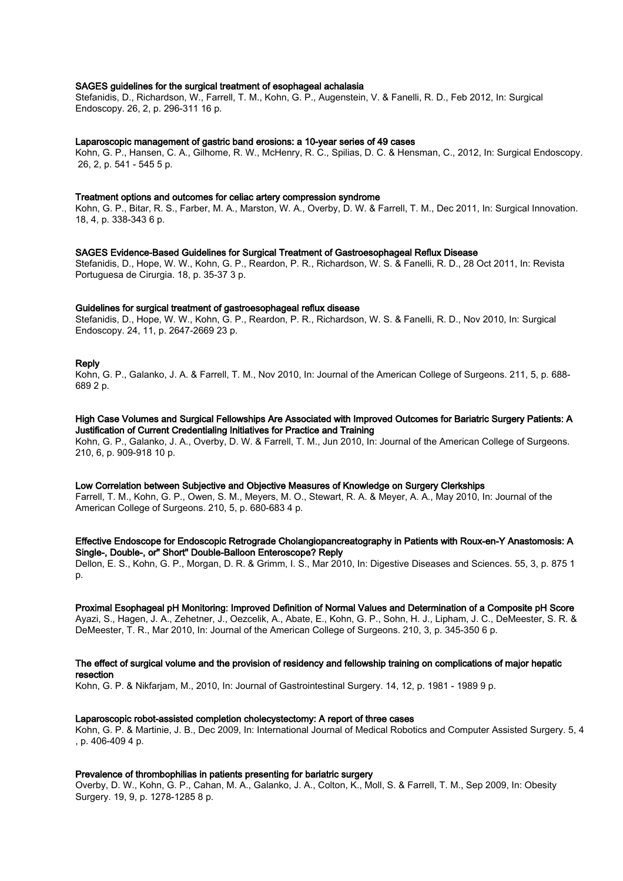#### SAGES guidelines for the surgical treatment of esophageal achalasia

Stefanidis, D., Richardson, W., Farrell, T. M., Kohn, G. P., Augenstein, V. & Fanelli, R. D., Feb 2012, In: Surgical Endoscopy. 26, 2, p. 296-311 16 p.

#### Laparoscopic management of gastric band erosions: a 10-year series of 49 cases

Kohn, G. P., Hansen, C. A., Gilhome, R. W., McHenry, R. C., Spilias, D. C. & Hensman, C., 2012, In: Surgical Endoscopy. 26, 2, p. 541 - 545 5 p.

#### Treatment options and outcomes for celiac artery compression syndrome

Kohn, G. P., Bitar, R. S., Farber, M. A., Marston, W. A., Overby, D. W. & Farrell, T. M., Dec 2011, In: Surgical Innovation. 18, 4, p. 338-343 6 p.

#### SAGES Evidence-Based Guidelines for Surgical Treatment of Gastroesophageal Reflux Disease

Stefanidis, D., Hope, W. W., Kohn, G. P., Reardon, P. R., Richardson, W. S. & Fanelli, R. D., 28 Oct 2011, In: Revista Portuguesa de Cirurgia. 18, p. 35-37 3 p.

#### Guidelines for surgical treatment of gastroesophageal reflux disease

Stefanidis, D., Hope, W. W., Kohn, G. P., Reardon, P. R., Richardson, W. S. & Fanelli, R. D., Nov 2010, In: Surgical Endoscopy. 24, 11, p. 2647-2669 23 p.

#### **Reply**

Kohn, G. P., Galanko, J. A. & Farrell, T. M., Nov 2010, In: Journal of the American College of Surgeons. 211, 5, p. 688- 689 2 p.

## High Case Volumes and Surgical Fellowships Are Associated with Improved Outcomes for Bariatric Surgery Patients: A Justification of Current Credentialing Initiatives for Practice and Training

Kohn, G. P., Galanko, J. A., Overby, D. W. & Farrell, T. M., Jun 2010, In: Journal of the American College of Surgeons. 210, 6, p. 909-918 10 p.

### Low Correlation between Subjective and Objective Measures of Knowledge on Surgery Clerkships

Farrell, T. M., Kohn, G. P., Owen, S. M., Meyers, M. O., Stewart, R. A. & Meyer, A. A., May 2010, In: Journal of the American College of Surgeons. 210, 5, p. 680-683 4 p.

#### Effective Endoscope for Endoscopic Retrograde Cholangiopancreatography in Patients with Roux-en-Y Anastomosis: A Single-, Double-, or" Short" Double-Balloon Enteroscope? Reply

Dellon, E. S., Kohn, G. P., Morgan, D. R. & Grimm, I. S., Mar 2010, In: Digestive Diseases and Sciences. 55, 3, p. 875 1 p.

#### Proximal Esophageal pH Monitoring: Improved Definition of Normal Values and Determination of a Composite pH Score

Ayazi, S., Hagen, J. A., Zehetner, J., Oezcelik, A., Abate, E., Kohn, G. P., Sohn, H. J., Lipham, J. C., DeMeester, S. R. & DeMeester, T. R., Mar 2010, In: Journal of the American College of Surgeons. 210, 3, p. 345-350 6 p.

#### The effect of surgical volume and the provision of residency and fellowship training on complications of major hepatic resection

Kohn, G. P. & Nikfarjam, M., 2010, In: Journal of Gastrointestinal Surgery. 14, 12, p. 1981 - 1989 9 p.

#### Laparoscopic robot-assisted completion cholecystectomy: A report of three cases

Kohn, G. P. & Martinie, J. B., Dec 2009, In: International Journal of Medical Robotics and Computer Assisted Surgery. 5, 4 , p. 406-409 4 p.

#### Prevalence of thrombophilias in patients presenting for bariatric surgery

Overby, D. W., Kohn, G. P., Cahan, M. A., Galanko, J. A., Colton, K., Moll, S. & Farrell, T. M., Sep 2009, In: Obesity Surgery. 19, 9, p. 1278-1285 8 p.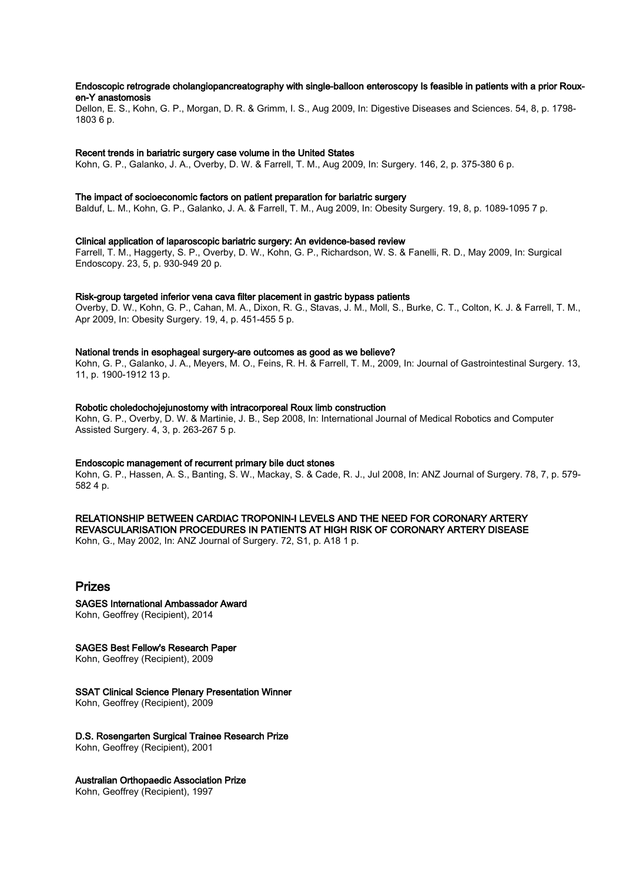### Endoscopic retrograde cholangiopancreatography with single-balloon enteroscopy Is feasible in patients with a prior Rouxen-Y anastomosis

Dellon, E. S., Kohn, G. P., Morgan, D. R. & Grimm, I. S., Aug 2009, In: Digestive Diseases and Sciences. 54, 8, p. 1798- 1803 6 p.

### Recent trends in bariatric surgery case volume in the United States

Kohn, G. P., Galanko, J. A., Overby, D. W. & Farrell, T. M., Aug 2009, In: Surgery. 146, 2, p. 375-380 6 p.

#### The impact of socioeconomic factors on patient preparation for bariatric surgery

Balduf, L. M., Kohn, G. P., Galanko, J. A. & Farrell, T. M., Aug 2009, In: Obesity Surgery. 19, 8, p. 1089-1095 7 p.

#### Clinical application of laparoscopic bariatric surgery: An evidence-based review

Farrell, T. M., Haggerty, S. P., Overby, D. W., Kohn, G. P., Richardson, W. S. & Fanelli, R. D., May 2009, In: Surgical Endoscopy. 23, 5, p. 930-949 20 p.

#### Risk-group targeted inferior vena cava filter placement in gastric bypass patients

Overby, D. W., Kohn, G. P., Cahan, M. A., Dixon, R. G., Stavas, J. M., Moll, S., Burke, C. T., Colton, K. J. & Farrell, T. M., Apr 2009, In: Obesity Surgery. 19, 4, p. 451-455 5 p.

#### National trends in esophageal surgery-are outcomes as good as we believe?

Kohn, G. P., Galanko, J. A., Meyers, M. O., Feins, R. H. & Farrell, T. M., 2009, In: Journal of Gastrointestinal Surgery. 13, 11, p. 1900-1912 13 p.

#### Robotic choledochojejunostomy with intracorporeal Roux limb construction

Kohn, G. P., Overby, D. W. & Martinie, J. B., Sep 2008, In: International Journal of Medical Robotics and Computer Assisted Surgery. 4, 3, p. 263-267 5 p.

## Endoscopic management of recurrent primary bile duct stones

Kohn, G. P., Hassen, A. S., Banting, S. W., Mackay, S. & Cade, R. J., Jul 2008, In: ANZ Journal of Surgery. 78, 7, p. 579- 582 4 p.

#### RELATIONSHIP BETWEEN CARDIAC TROPONIN-I LEVELS AND THE NEED FOR CORONARY ARTERY REVASCULARISATION PROCEDURES IN PATIENTS AT HIGH RISK OF CORONARY ARTERY DISEASE

Kohn, G., May 2002, In: ANZ Journal of Surgery. 72, S1, p. A18 1 p.

# Prizes

SAGES International Ambassador Award Kohn, Geoffrey (Recipient), 2014

## SAGES Best Fellow's Research Paper

Kohn, Geoffrey (Recipient), 2009

## SSAT Clinical Science Plenary Presentation Winner

Kohn, Geoffrey (Recipient), 2009

## D.S. Rosengarten Surgical Trainee Research Prize

Kohn, Geoffrey (Recipient), 2001

## Australian Orthopaedic Association Prize

Kohn, Geoffrey (Recipient), 1997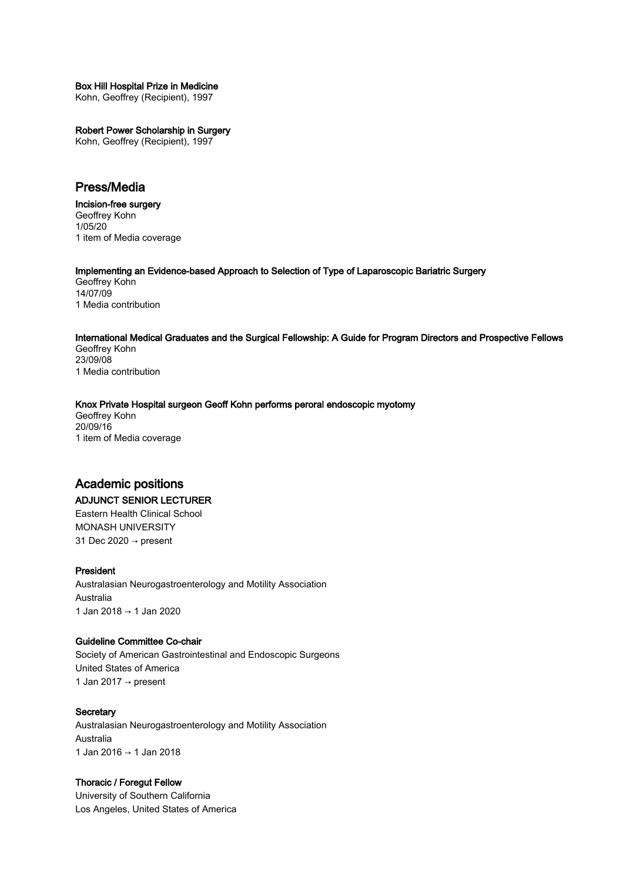## Box Hill Hospital Prize in Medicine

Kohn, Geoffrey (Recipient), 1997

## Robert Power Scholarship in Surgery

Kohn, Geoffrey (Recipient), 1997

# Press/Media

Incision-free surgery Geoffrey Kohn 1/05/20 1 item of Media coverage

## Implementing an Evidence-based Approach to Selection of Type of Laparoscopic Bariatric Surgery

Geoffrey Kohn 14/07/09 1 Media contribution

## International Medical Graduates and the Surgical Fellowship: A Guide for Program Directors and Prospective Fellows

Geoffrey Kohn 23/09/08 1 Media contribution

## Knox Private Hospital surgeon Geoff Kohn performs peroral endoscopic myotomy

Geoffrey Kohn 20/09/16 1 item of Media coverage

## Academic positions

## ADJUNCT SENIOR LECTURER

Eastern Health Clinical School MONASH UNIVERSITY 31 Dec 2020 → present

## President

Australasian Neurogastroenterology and Motility Association Australia 1 Jan 2018 → 1 Jan 2020

## Guideline Committee Co-chair

Society of American Gastrointestinal and Endoscopic Surgeons United States of America 1 Jan 2017 → present

## **Secretary**

Australasian Neurogastroenterology and Motility Association Australia 1 Jan 2016 → 1 Jan 2018

## Thoracic / Foregut Fellow

University of Southern California Los Angeles, United States of America